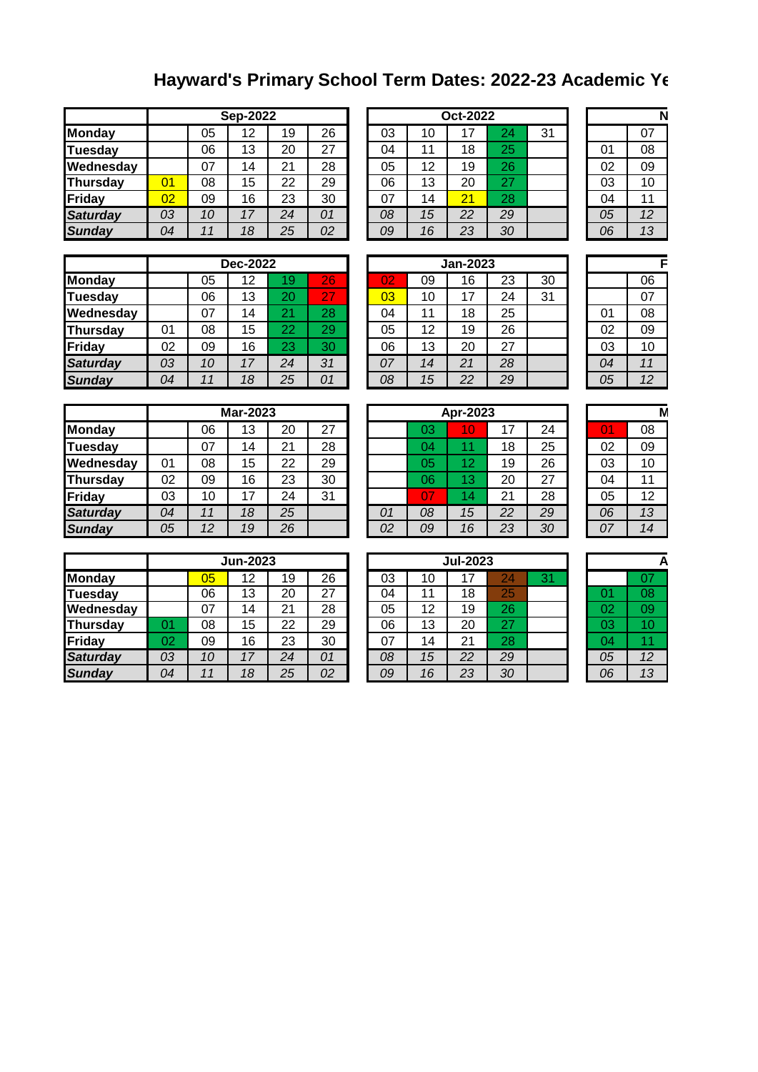## **Hayward's Primary School Term Dates: 2022-23 Academic Year**

|                 |    |    | <b>Sep-2022</b> |    |    |    |    | Oct-2022 |    |    |    |    |
|-----------------|----|----|-----------------|----|----|----|----|----------|----|----|----|----|
| Monday          |    | 05 | 12              | 19 | 26 | 03 | 10 | 17       | 24 | 31 |    | 07 |
| <b>Tuesday</b>  |    | 06 | 13              | 20 | 27 | 04 | 11 | 18       | 25 |    | 01 | 08 |
| Wednesday       |    | 07 | 14              | 21 | 28 | 05 | 12 | 19       | 26 |    | 02 | 09 |
| Thursday        | 01 | 08 | 15              | 22 | 29 | 06 | 13 | 20       | 27 |    | 03 | 10 |
| Friday          | 02 | 09 | 16              | 23 | 30 | 07 | 14 | 21       | 28 |    | 04 | 11 |
| <b>Saturday</b> | 03 | 10 | 17              | 24 | 01 | 08 | 15 | 22       | 29 |    | 05 | 12 |
| <b>Sunday</b>   | 04 | 11 | 18              | 25 | 02 | 09 | 16 | 23       | 30 |    | 06 | 13 |

| Sep-2022 |    |    |    |    | Oct-2022 |    |    |    | N  |
|----------|----|----|----|----|----------|----|----|----|----|
| 12       | 19 | 26 | 03 | 10 | 17       | 24 | 31 |    | 07 |
| 13       | 20 | 27 | 04 | 11 | 18       | 25 |    | 01 | 08 |
| 14       | 21 | 28 | 05 | 12 | 19       | 26 |    | 02 | 09 |
| 15       | 22 | 29 | 06 | 13 | 20       | 27 |    | 03 | 10 |
| 16       | 23 | 30 | 07 | 14 | 21       | 28 |    | 04 | 11 |
| 17       | 24 | 01 | 08 | 15 | 22       | 29 |    | 05 | 12 |
| 18       | 25 | 02 | 09 | 16 | 23       | 30 |    | 06 | 13 |

|    | 07 |
|----|----|
| 01 | 08 |
| 02 | 09 |
| 03 | 10 |
| 04 | 11 |
| 05 | 12 |
| 06 | 13 |
|    |    |

|                 | <b>Dec-2022</b> |    |    |    |    |  |    | Jan-2023 |    |    |    |  |    |    |
|-----------------|-----------------|----|----|----|----|--|----|----------|----|----|----|--|----|----|
| <b>Monday</b>   |                 | 05 | 12 | 19 | 26 |  | 02 | 09       | 16 | 23 | 30 |  |    | 06 |
| Tuesday         |                 | 06 | 13 | 20 | 27 |  | 03 | 10       | 17 | 24 | 31 |  |    | 07 |
| Wednesday       |                 | 07 | 14 | 21 | 28 |  | 04 | 11       | 18 | 25 |    |  | 01 | 08 |
| Thursday        | 01              | 08 | 15 | 22 | 29 |  | 05 | 12       | 19 | 26 |    |  | 02 | 09 |
| Friday          | 02              | 09 | 16 | 23 | 30 |  | 06 | 13       | 20 | 27 |    |  | 03 | 10 |
| <b>Saturday</b> | 03              | 10 | 17 | 24 | 31 |  | 07 | 14       | 21 | 28 |    |  | 04 | 11 |
| <b>Sunday</b>   | 04              | 11 | 18 | 25 | 01 |  | 08 | 15       | 22 | 29 |    |  | 05 | 12 |

| <b>Dec-2022</b> |    |    |    |    | <b>Jan-2023</b> |    |    |    |    |  |
|-----------------|----|----|----|----|-----------------|----|----|----|----|--|
| 12              | 19 | 26 | 02 | 09 | 16              | 23 | 30 |    | 06 |  |
| 13              | 20 | 27 | 03 | 10 | 17              | 24 | 31 |    | 07 |  |
| 14              | 21 | 28 | 04 | 11 | 18              | 25 |    | 01 | 08 |  |
| 15              | 22 | 29 | 05 | 12 | 19              | 26 |    | 02 | 09 |  |
| 16              | 23 | 30 | 06 | 13 | 20              | 27 |    | 03 | 10 |  |
| 17              | 24 | 31 | 07 | 14 | 21              | 28 |    | 04 | 11 |  |
| 18              | 25 | 01 | 08 | 15 | 22              | 29 |    | 05 | 12 |  |
|                 |    |    |    |    |                 |    |    |    |    |  |

|    | F  |
|----|----|
|    | 06 |
|    | 07 |
| 01 | 08 |
| 02 | 09 |
| 03 | 10 |
| 04 | 11 |
| 05 | 12 |

|                 |    |    | <b>Mar-2023</b> |    |    |    | Apr-2023 |                 |    |    |    |    |
|-----------------|----|----|-----------------|----|----|----|----------|-----------------|----|----|----|----|
| <b>Monday</b>   |    | 06 | 13              | 20 | 27 |    | 03       | 10              | 17 | 24 | 01 | 08 |
| <b>Tuesday</b>  |    | 07 | 14              | 21 | 28 |    | 04       |                 | 18 | 25 | 02 | 09 |
| Wednesday       | 01 | 08 | 15              | 22 | 29 |    | 05       | 12              | 19 | 26 | 03 | 10 |
| <b>Thursday</b> | 02 | 09 | 16              | 23 | 30 |    | 06       | 13 <sub>1</sub> | 20 | 27 | 04 | 11 |
| Friday          | 03 | 10 | 17              | 24 | 31 |    | 07       | 14.             | 21 | 28 | 05 | 12 |
| <b>Saturday</b> | 04 | 11 | 18              | 25 |    | 01 | 08       | 15              | 22 | 29 | 06 | 13 |
| <b>Sunday</b>   | 05 | 12 | 19              | 26 |    | 02 | 09       | 16              | 23 | 30 | 07 | 14 |

| Mar-2023 |    |    |    |    | Apr-2023 |    |    | M  |    |
|----------|----|----|----|----|----------|----|----|----|----|
| 13       | 20 | 27 |    | 03 | 10       | 17 | 24 | O  | 08 |
| 14       | 21 | 28 |    | 04 | 11       | 18 | 25 | 02 | 09 |
| 15       | 22 | 29 |    | 05 | 12       | 19 | 26 | 03 | 10 |
| 16       | 23 | 30 |    | 06 | 13       | 20 | 27 | 04 | 11 |
| 17       | 24 | 31 |    |    | 14       | 21 | 28 | 05 | 12 |
| 18       | 25 |    | 01 | 08 | 15       | 22 | 29 | 06 | 13 |
| 19       | 26 |    | 02 | 09 | 16       | 23 | 30 | 07 | 14 |

|                 |    |    | <b>Jun-2023</b> |    |    |    | <b>Jul-2023</b> |    |    |    |    |    |
|-----------------|----|----|-----------------|----|----|----|-----------------|----|----|----|----|----|
| <b>Monday</b>   |    | 05 | 12              | 19 | 26 | 03 | 10              | 17 | 24 | 31 |    | 07 |
| Tuesday         |    | 06 | 13              | 20 | 27 | 04 | 11              | 18 | 25 |    | 01 | 08 |
| Wednesday       |    | 07 | 14              | 21 | 28 | 05 | 12              | 19 | 26 |    | 02 | 09 |
| <b>Thursday</b> | 01 | 08 | 15              | 22 | 29 | 06 | 13              | 20 | 27 |    | 03 | 10 |
| Friday          | 02 | 09 | 16              | 23 | 30 | 07 | 14              | 21 | 28 |    | 04 | 11 |
| <b>Saturday</b> | 03 | 10 | 17              | 24 | 01 | 08 | 15              | 22 | 29 |    | 05 | 12 |
| <b>Sundav</b>   | 04 | 11 | 18              | 25 | 02 | 09 | 16              | 23 | 30 |    | 06 | 13 |

| Jun-2023 |    |    |    | <b>Jul-2023</b> |    |    |    |  |    |     |
|----------|----|----|----|-----------------|----|----|----|--|----|-----|
| 12       | 19 | 26 | 03 | 10              | 17 | 24 | 31 |  |    |     |
| 13       | 20 | 27 | 04 | 11              | 18 | 25 |    |  |    | 08  |
| 14       | 21 | 28 | 05 | 12              | 19 | 26 |    |  | 02 | 09  |
| 15       | 22 | 29 | 06 | 13              | 20 | 27 |    |  | 03 | 10  |
| 16       | 23 | 30 | 07 | 14              | 21 | 28 |    |  | 04 | . . |
| 17       | 24 | 01 | 08 | 15              | 22 | 29 |    |  | 05 | 12  |
| 18       | 25 | 02 | 09 | 16              | 23 | 30 |    |  | 06 | 13  |

|    | 07 |
|----|----|
| 01 | 08 |
| 02 | 09 |
| 03 | 10 |
| 04 | 11 |
| 05 | 12 |
| 06 | 13 |